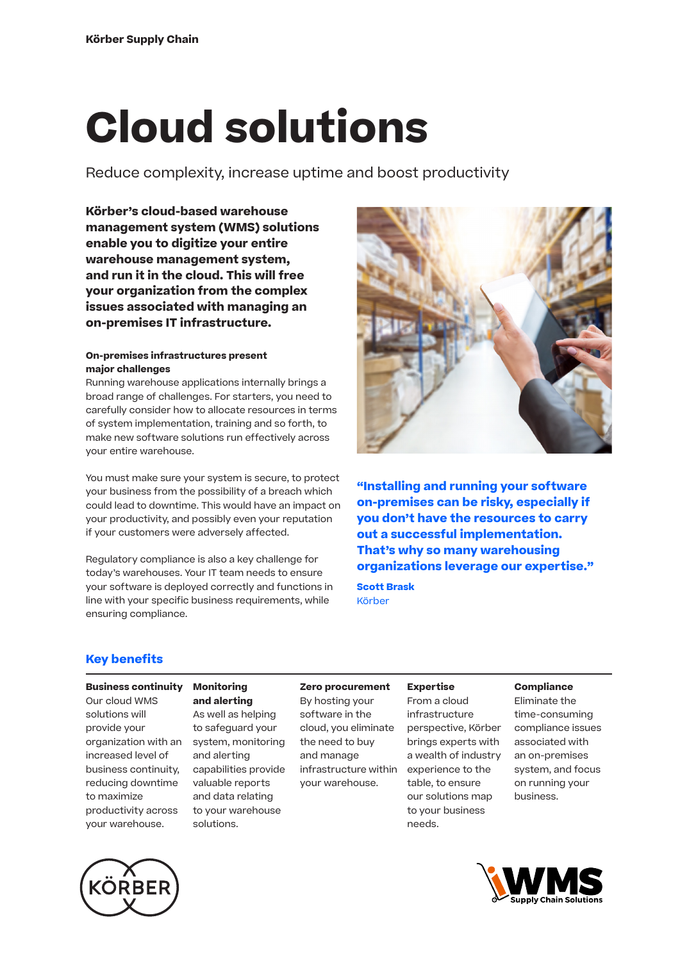# **Cloud solutions**

Reduce complexity, increase uptime and boost productivity

**Körber's cloud-based warehouse management system (WMS) solutions enable you to digitize your entire warehouse management system, and run it in the cloud. This will free your organization from the complex issues associated with managing an on-premises IT infrastructure.** 

# **On-premises infrastructures present major challenges**

Running warehouse applications internally brings a broad range of challenges. For starters, you need to carefully consider how to allocate resources in terms of system implementation, training and so forth, to make new software solutions run effectively across your entire warehouse.

You must make sure your system is secure, to protect your business from the possibility of a breach which could lead to downtime. This would have an impact on your productivity, and possibly even your reputation if your customers were adversely affected.

Regulatory compliance is also a key challenge for today's warehouses. Your IT team needs to ensure your software is deployed correctly and functions in line with your specific business requirements, while ensuring compliance.



**"Installing and running your software on-premises can be risky, especially if you don't have the resources to carry out a successful implementation. That's why so many warehousing organizations leverage our expertise."**

**Scott Brask** Körber

# **Key benefits**

# **Business continuity**

Our cloud WMS solutions will provide your organization with an increased level of business continuity, reducing downtime to maximize productivity across your warehouse.

#### **Monitoring**  By hosting your

**and alerting** As well as helping to safeguard your system, monitoring and alerting capabilities provide valuable reports and data relating to your warehouse solutions.

#### **Zero procurement Expertise**

software in the cloud, you eliminate the need to buy and manage

your warehouse.

infrastructure within From a cloud infrastructure perspective, Körber brings experts with a wealth of industry experience to the table, to ensure our solutions map to your business needs.

# **Compliance**

Eliminate the time-consuming compliance issues associated with an on-premises system, and focus on running your business.